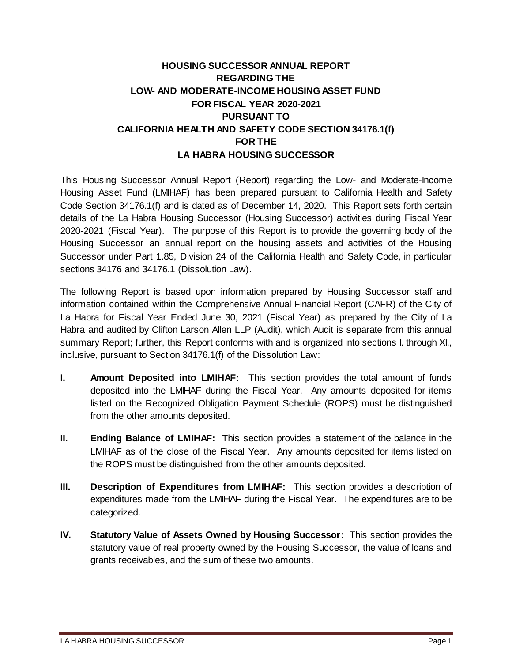# **HOUSING SUCCESSOR ANNUAL REPORT REGARDING THE LOW- AND MODERATE-INCOME HOUSING ASSET FUND FOR FISCAL YEAR 2020-2021 PURSUANT TO CALIFORNIA HEALTH AND SAFETY CODE SECTION 34176.1(f) FOR THE LA HABRA HOUSING SUCCESSOR**

This Housing Successor Annual Report (Report) regarding the Low- and Moderate-Income Housing Asset Fund (LMIHAF) has been prepared pursuant to California Health and Safety Code Section 34176.1(f) and is dated as of December 14, 2020. This Report sets forth certain details of the La Habra Housing Successor (Housing Successor) activities during Fiscal Year 2020-2021 (Fiscal Year). The purpose of this Report is to provide the governing body of the Housing Successor an annual report on the housing assets and activities of the Housing Successor under Part 1.85, Division 24 of the California Health and Safety Code, in particular sections 34176 and 34176.1 (Dissolution Law).

The following Report is based upon information prepared by Housing Successor staff and information contained within the Comprehensive Annual Financial Report (CAFR) of the City of La Habra for Fiscal Year Ended June 30, 2021 (Fiscal Year) as prepared by the City of La Habra and audited by Clifton Larson Allen LLP (Audit), which Audit is separate from this annual summary Report; further, this Report conforms with and is organized into sections I. through XI., inclusive, pursuant to Section 34176.1(f) of the Dissolution Law:

- **I. Amount Deposited into LMIHAF:** This section provides the total amount of funds deposited into the LMIHAF during the Fiscal Year. Any amounts deposited for items listed on the Recognized Obligation Payment Schedule (ROPS) must be distinguished from the other amounts deposited.
- **II. Ending Balance of LMIHAF:** This section provides a statement of the balance in the LMIHAF as of the close of the Fiscal Year. Any amounts deposited for items listed on the ROPS must be distinguished from the other amounts deposited.
- **III. Description of Expenditures from LMIHAF:** This section provides a description of expenditures made from the LMIHAF during the Fiscal Year. The expenditures are to be categorized.
- **IV. Statutory Value of Assets Owned by Housing Successor:** This section provides the statutory value of real property owned by the Housing Successor, the value of loans and grants receivables, and the sum of these two amounts.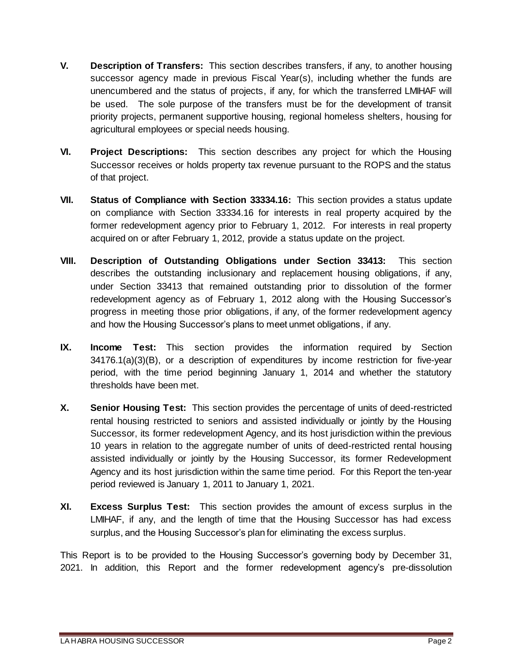- **V. Description of Transfers:** This section describes transfers, if any, to another housing successor agency made in previous Fiscal Year(s), including whether the funds are unencumbered and the status of projects, if any, for which the transferred LMIHAF will be used. The sole purpose of the transfers must be for the development of transit priority projects, permanent supportive housing, regional homeless shelters, housing for agricultural employees or special needs housing.
- **VI. Project Descriptions:** This section describes any project for which the Housing Successor receives or holds property tax revenue pursuant to the ROPS and the status of that project.
- **VII. Status of Compliance with Section 33334.16:** This section provides a status update on compliance with Section 33334.16 for interests in real property acquired by the former redevelopment agency prior to February 1, 2012. For interests in real property acquired on or after February 1, 2012, provide a status update on the project.
- **VIII. Description of Outstanding Obligations under Section 33413:** This section describes the outstanding inclusionary and replacement housing obligations, if any, under Section 33413 that remained outstanding prior to dissolution of the former redevelopment agency as of February 1, 2012 along with the Housing Successor's progress in meeting those prior obligations, if any, of the former redevelopment agency and how the Housing Successor's plans to meet unmet obligations, if any.
- **IX. Income Test:** This section provides the information required by Section 34176.1(a)(3)(B), or a description of expenditures by income restriction for five-year period, with the time period beginning January 1, 2014 and whether the statutory thresholds have been met.
- **X. Senior Housing Test:** This section provides the percentage of units of deed-restricted rental housing restricted to seniors and assisted individually or jointly by the Housing Successor, its former redevelopment Agency, and its host jurisdiction within the previous 10 years in relation to the aggregate number of units of deed-restricted rental housing assisted individually or jointly by the Housing Successor, its former Redevelopment Agency and its host jurisdiction within the same time period. For this Report the ten-year period reviewed is January 1, 2011 to January 1, 2021.
- **XI. Excess Surplus Test:** This section provides the amount of excess surplus in the LMIHAF, if any, and the length of time that the Housing Successor has had excess surplus, and the Housing Successor's plan for eliminating the excess surplus.

This Report is to be provided to the Housing Successor's governing body by December 31, 2021. In addition, this Report and the former redevelopment agency's pre-dissolution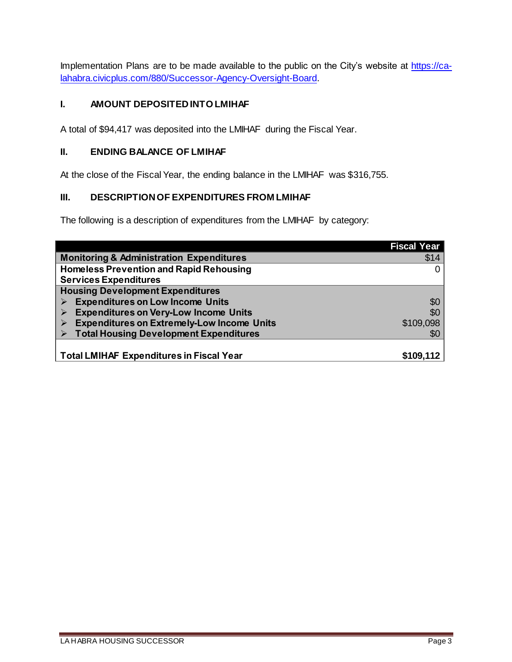Implementation Plans are to be made available to the public on the City's website at https://calahabra.civicplus.com/880/Successor-Agency-Oversight-Board.

### **I. AMOUNT DEPOSITED INTO LMIHAF**

A total of \$94,417 was deposited into the LMIHAF during the Fiscal Year.

#### **II. ENDING BALANCE OF LMIHAF**

At the close of the Fiscal Year, the ending balance in the LMIHAF was \$316,755.

#### **III. DESCRIPTION OF EXPENDITURES FROM LMIHAF**

The following is a description of expenditures from the LMIHAF by category:

|                                                     | <b>Fiscal Year</b> |
|-----------------------------------------------------|--------------------|
| <b>Monitoring &amp; Administration Expenditures</b> | \$14               |
| <b>Homeless Prevention and Rapid Rehousing</b>      | 0                  |
| <b>Services Expenditures</b>                        |                    |
| <b>Housing Development Expenditures</b>             |                    |
| <b>Expenditures on Low Income Units</b>             | \$0                |
| <b>Expenditures on Very-Low Income Units</b>        | \$0                |
| <b>Expenditures on Extremely-Low Income Units</b>   | \$109,098          |
| <b>Total Housing Development Expenditures</b>       | \$0                |
|                                                     |                    |
| <b>Total LMIHAF Expenditures in Fiscal Year</b>     | \$109,112          |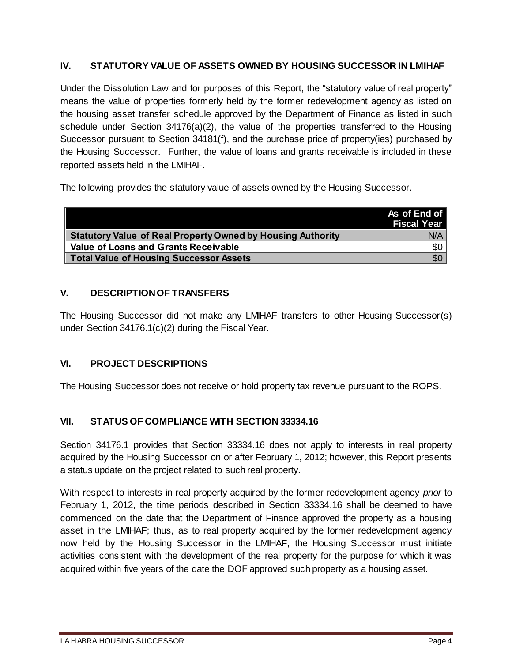### **IV. STATUTORY VALUE OF ASSETS OWNED BY HOUSING SUCCESSOR IN LMIHAF**

Under the Dissolution Law and for purposes of this Report, the "statutory value of real property" means the value of properties formerly held by the former redevelopment agency as listed on the housing asset transfer schedule approved by the Department of Finance as listed in such schedule under Section  $34176(a)(2)$ , the value of the properties transferred to the Housing Successor pursuant to Section 34181(f), and the purchase price of property(ies) purchased by the Housing Successor. Further, the value of loans and grants receivable is included in these reported assets held in the LMIHAF.

The following provides the statutory value of assets owned by the Housing Successor.

|                                                                    | As of End of<br><b>Fiscal Year</b> |
|--------------------------------------------------------------------|------------------------------------|
| <b>Statutory Value of Real Property Owned by Housing Authority</b> | N/A                                |
| <b>Value of Loans and Grants Receivable</b>                        | \$0                                |
| <b>Total Value of Housing Successor Assets</b>                     | \$0                                |

### **V. DESCRIPTION OF TRANSFERS**

The Housing Successor did not make any LMIHAF transfers to other Housing Successor(s) under Section 34176.1(c)(2) during the Fiscal Year.

### **VI. PROJECT DESCRIPTIONS**

The Housing Successor does not receive or hold property tax revenue pursuant to the ROPS.

### **VII. STATUS OF COMPLIANCE WITH SECTION 33334.16**

Section 34176.1 provides that Section 33334.16 does not apply to interests in real property acquired by the Housing Successor on or after February 1, 2012; however, this Report presents a status update on the project related to such real property.

With respect to interests in real property acquired by the former redevelopment agency *prior* to February 1, 2012, the time periods described in Section 33334.16 shall be deemed to have commenced on the date that the Department of Finance approved the property as a housing asset in the LMIHAF; thus, as to real property acquired by the former redevelopment agency now held by the Housing Successor in the LMIHAF, the Housing Successor must initiate activities consistent with the development of the real property for the purpose for which it was acquired within five years of the date the DOF approved such property as a housing asset.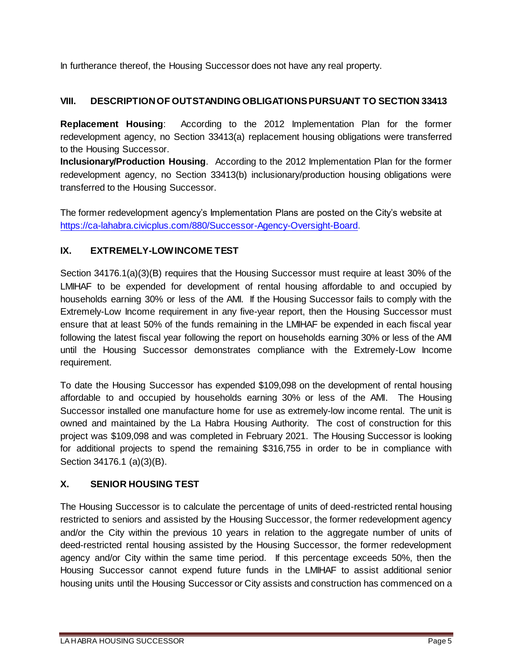In furtherance thereof, the Housing Successor does not have any real property.

## **VIII. DESCRIPTION OF OUTSTANDING OBLIGATIONS PURSUANT TO SECTION 33413**

**Replacement Housing**: According to the 2012 Implementation Plan for the former redevelopment agency, no Section 33413(a) replacement housing obligations were transferred to the Housing Successor.

**Inclusionary/Production Housing**. According to the 2012 Implementation Plan for the former redevelopment agency, no Section 33413(b) inclusionary/production housing obligations were transferred to the Housing Successor.

The former redevelopment agency's Implementation Plans are posted on the City's website at https://ca-lahabra.civicplus.com/880/Successor-Agency-Oversight-Board.

### **IX. EXTREMELY-LOW INCOME TEST**

Section 34176.1(a)(3)(B) requires that the Housing Successor must require at least 30% of the LMIHAF to be expended for development of rental housing affordable to and occupied by households earning 30% or less of the AMI. If the Housing Successor fails to comply with the Extremely-Low Income requirement in any five-year report, then the Housing Successor must ensure that at least 50% of the funds remaining in the LMIHAF be expended in each fiscal year following the latest fiscal year following the report on households earning 30% or less of the AMI until the Housing Successor demonstrates compliance with the Extremely-Low Income requirement.

To date the Housing Successor has expended \$109,098 on the development of rental housing affordable to and occupied by households earning 30% or less of the AMI. The Housing Successor installed one manufacture home for use as extremely-low income rental. The unit is owned and maintained by the La Habra Housing Authority. The cost of construction for this project was \$109,098 and was completed in February 2021. The Housing Successor is looking for additional projects to spend the remaining \$316,755 in order to be in compliance with Section 34176.1 (a)(3)(B).

## **X. SENIOR HOUSING TEST**

The Housing Successor is to calculate the percentage of units of deed-restricted rental housing restricted to seniors and assisted by the Housing Successor, the former redevelopment agency and/or the City within the previous 10 years in relation to the aggregate number of units of deed-restricted rental housing assisted by the Housing Successor, the former redevelopment agency and/or City within the same time period. If this percentage exceeds 50%, then the Housing Successor cannot expend future funds in the LMIHAF to assist additional senior housing units until the Housing Successor or City assists and construction has commenced on a